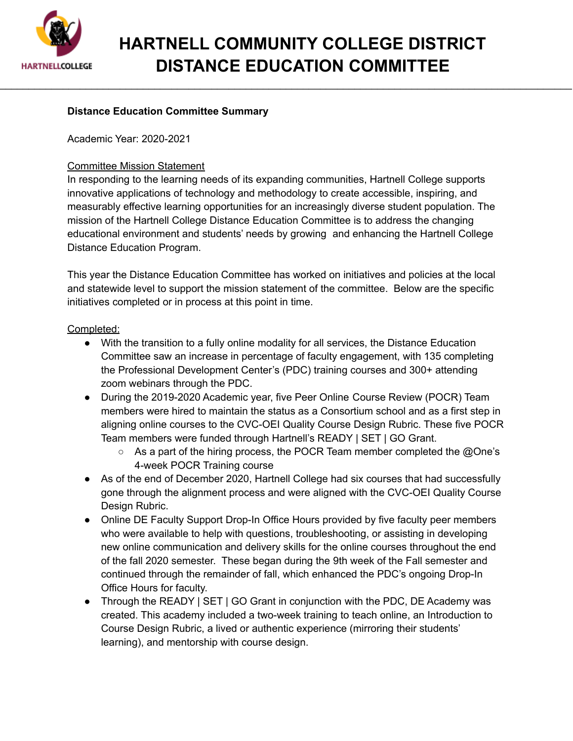

## **HARTNELL COMMUNITY COLLEGE DISTRICT DISTANCE EDUCATION COMMITTEE**

\_\_\_\_\_\_\_\_\_\_\_\_\_\_\_\_\_\_\_\_\_\_\_\_\_\_\_\_\_\_\_\_\_\_\_\_\_\_\_\_\_\_\_\_\_\_\_\_\_\_\_\_\_\_\_\_\_\_\_\_\_\_\_\_\_\_\_\_\_\_\_\_\_\_\_\_\_\_\_\_\_\_\_\_\_\_\_\_\_\_\_\_\_\_\_\_\_\_\_\_

## **Distance Education Committee Summary**

Academic Year: 2020-2021

## Committee Mission Statement

In responding to the learning needs of its expanding communities, Hartnell College supports innovative applications of technology and methodology to create accessible, inspiring, and measurably effective learning opportunities for an increasingly diverse student population. The mission of the Hartnell College Distance Education Committee is to address the changing educational environment and students' needs by growing and enhancing the Hartnell College Distance Education Program.

This year the Distance Education Committee has worked on initiatives and policies at the local and statewide level to support the mission statement of the committee. Below are the specific initiatives completed or in process at this point in time.

## Completed:

- With the transition to a fully online modality for all services, the Distance Education Committee saw an increase in percentage of faculty engagement, with 135 completing the Professional Development Center's (PDC) training courses and 300+ attending zoom webinars through the PDC.
- During the 2019-2020 Academic year, five Peer Online Course Review (POCR) Team members were hired to maintain the status as a Consortium school and as a first step in aligning online courses to the CVC-OEI Quality Course Design Rubric. These five POCR Team members were funded through Hartnell's READY | SET | GO Grant.
	- As a part of the hiring process, the POCR Team member completed the @One's 4-week POCR Training course
- As of the end of December 2020, Hartnell College had six courses that had successfully gone through the alignment process and were aligned with the CVC-OEI Quality Course Design Rubric.
- Online DE Faculty Support Drop-In Office Hours provided by five faculty peer members who were available to help with questions, troubleshooting, or assisting in developing new online communication and delivery skills for the online courses throughout the end of the fall 2020 semester. These began during the 9th week of the Fall semester and continued through the remainder of fall, which enhanced the PDC's ongoing Drop-In Office Hours for faculty.
- Through the READY | SET | GO Grant in conjunction with the PDC, DE Academy was created. This academy included a two-week training to teach online, an Introduction to Course Design Rubric, a lived or authentic experience (mirroring their students' learning), and mentorship with course design.